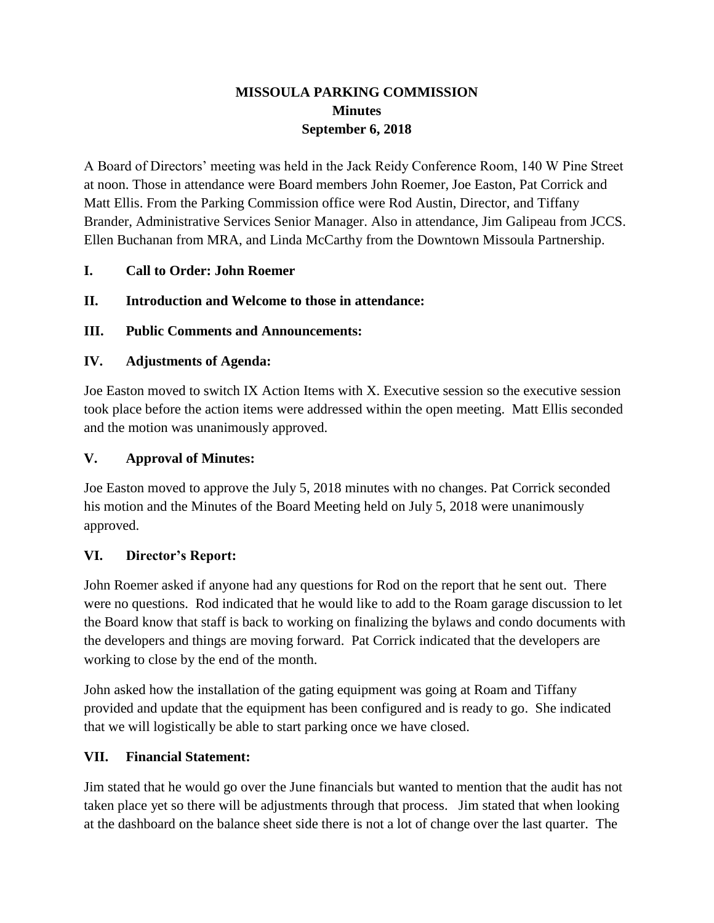# **MISSOULA PARKING COMMISSION Minutes September 6, 2018**

A Board of Directors' meeting was held in the Jack Reidy Conference Room, 140 W Pine Street at noon. Those in attendance were Board members John Roemer, Joe Easton, Pat Corrick and Matt Ellis. From the Parking Commission office were Rod Austin, Director, and Tiffany Brander, Administrative Services Senior Manager. Also in attendance, Jim Galipeau from JCCS. Ellen Buchanan from MRA, and Linda McCarthy from the Downtown Missoula Partnership.

- **I. Call to Order: John Roemer**
- **II. Introduction and Welcome to those in attendance:**
- **III. Public Comments and Announcements:**

## **IV. Adjustments of Agenda:**

Joe Easton moved to switch IX Action Items with X. Executive session so the executive session took place before the action items were addressed within the open meeting. Matt Ellis seconded and the motion was unanimously approved.

## **V. Approval of Minutes:**

Joe Easton moved to approve the July 5, 2018 minutes with no changes. Pat Corrick seconded his motion and the Minutes of the Board Meeting held on July 5, 2018 were unanimously approved.

# **VI. Director's Report:**

John Roemer asked if anyone had any questions for Rod on the report that he sent out. There were no questions. Rod indicated that he would like to add to the Roam garage discussion to let the Board know that staff is back to working on finalizing the bylaws and condo documents with the developers and things are moving forward. Pat Corrick indicated that the developers are working to close by the end of the month.

John asked how the installation of the gating equipment was going at Roam and Tiffany provided and update that the equipment has been configured and is ready to go. She indicated that we will logistically be able to start parking once we have closed.

# **VII. Financial Statement:**

Jim stated that he would go over the June financials but wanted to mention that the audit has not taken place yet so there will be adjustments through that process. Jim stated that when looking at the dashboard on the balance sheet side there is not a lot of change over the last quarter. The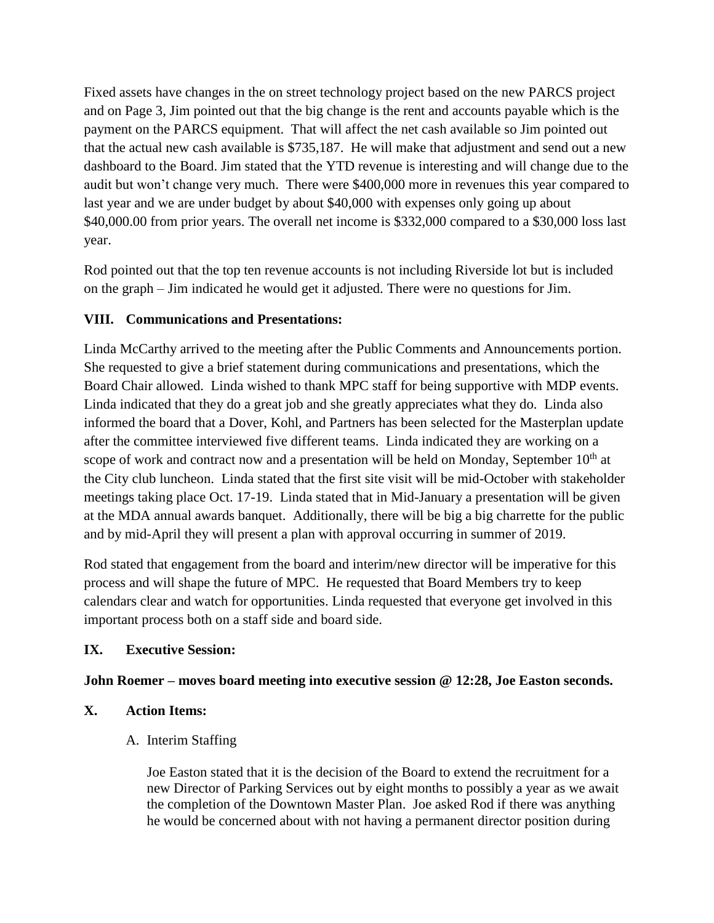Fixed assets have changes in the on street technology project based on the new PARCS project and on Page 3, Jim pointed out that the big change is the rent and accounts payable which is the payment on the PARCS equipment. That will affect the net cash available so Jim pointed out that the actual new cash available is \$735,187. He will make that adjustment and send out a new dashboard to the Board. Jim stated that the YTD revenue is interesting and will change due to the audit but won't change very much. There were \$400,000 more in revenues this year compared to last year and we are under budget by about \$40,000 with expenses only going up about \$40,000.00 from prior years. The overall net income is \$332,000 compared to a \$30,000 loss last year.

Rod pointed out that the top ten revenue accounts is not including Riverside lot but is included on the graph – Jim indicated he would get it adjusted. There were no questions for Jim.

## **VIII. Communications and Presentations:**

Linda McCarthy arrived to the meeting after the Public Comments and Announcements portion. She requested to give a brief statement during communications and presentations, which the Board Chair allowed. Linda wished to thank MPC staff for being supportive with MDP events. Linda indicated that they do a great job and she greatly appreciates what they do. Linda also informed the board that a Dover, Kohl, and Partners has been selected for the Masterplan update after the committee interviewed five different teams. Linda indicated they are working on a scope of work and contract now and a presentation will be held on Monday, September  $10<sup>th</sup>$  at the City club luncheon. Linda stated that the first site visit will be mid-October with stakeholder meetings taking place Oct. 17-19. Linda stated that in Mid-January a presentation will be given at the MDA annual awards banquet. Additionally, there will be big a big charrette for the public and by mid-April they will present a plan with approval occurring in summer of 2019.

Rod stated that engagement from the board and interim/new director will be imperative for this process and will shape the future of MPC. He requested that Board Members try to keep calendars clear and watch for opportunities. Linda requested that everyone get involved in this important process both on a staff side and board side.

### **IX. Executive Session:**

### **John Roemer – moves board meeting into executive session @ 12:28, Joe Easton seconds.**

### **X. Action Items:**

### A. Interim Staffing

Joe Easton stated that it is the decision of the Board to extend the recruitment for a new Director of Parking Services out by eight months to possibly a year as we await the completion of the Downtown Master Plan. Joe asked Rod if there was anything he would be concerned about with not having a permanent director position during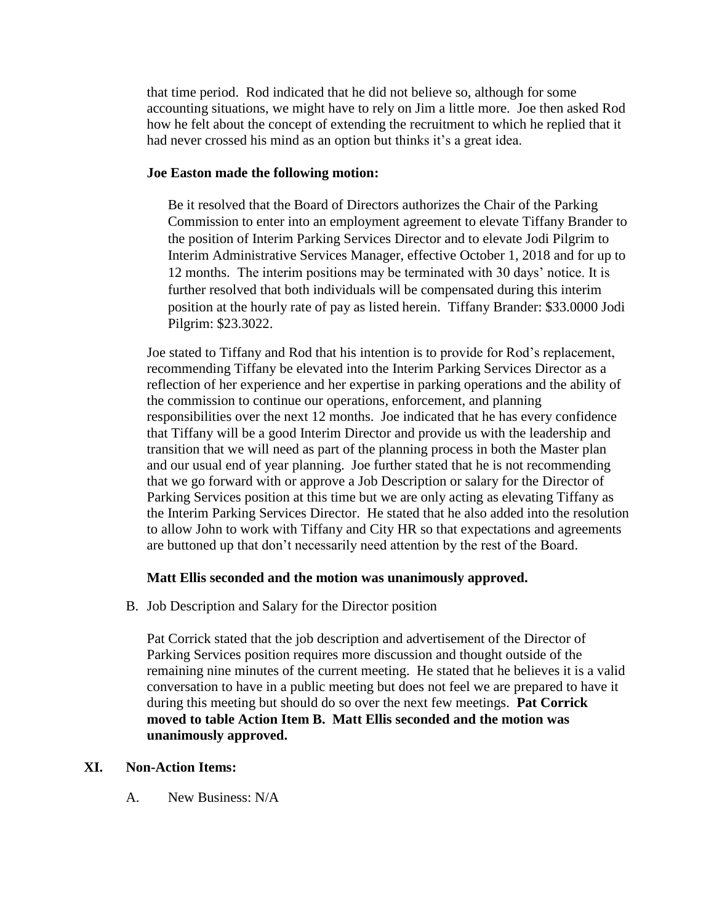that time period. Rod indicated that he did not believe so, although for some accounting situations, we might have to rely on Jim a little more. Joe then asked Rod how he felt about the concept of extending the recruitment to which he replied that it had never crossed his mind as an option but thinks it's a great idea.

#### **Joe Easton made the following motion:**

Be it resolved that the Board of Directors authorizes the Chair of the Parking Commission to enter into an employment agreement to elevate Tiffany Brander to the position of Interim Parking Services Director and to elevate Jodi Pilgrim to Interim Administrative Services Manager, effective October 1, 2018 and for up to 12 months. The interim positions may be terminated with 30 days' notice. It is further resolved that both individuals will be compensated during this interim position at the hourly rate of pay as listed herein. Tiffany Brander: \$33.0000 Jodi Pilgrim: \$23.3022.

Joe stated to Tiffany and Rod that his intention is to provide for Rod's replacement, recommending Tiffany be elevated into the Interim Parking Services Director as a reflection of her experience and her expertise in parking operations and the ability of the commission to continue our operations, enforcement, and planning responsibilities over the next 12 months. Joe indicated that he has every confidence that Tiffany will be a good Interim Director and provide us with the leadership and transition that we will need as part of the planning process in both the Master plan and our usual end of year planning. Joe further stated that he is not recommending that we go forward with or approve a Job Description or salary for the Director of Parking Services position at this time but we are only acting as elevating Tiffany as the Interim Parking Services Director. He stated that he also added into the resolution to allow John to work with Tiffany and City HR so that expectations and agreements are buttoned up that don't necessarily need attention by the rest of the Board.

#### **Matt Ellis seconded and the motion was unanimously approved.**

B. Job Description and Salary for the Director position

Pat Corrick stated that the job description and advertisement of the Director of Parking Services position requires more discussion and thought outside of the remaining nine minutes of the current meeting. He stated that he believes it is a valid conversation to have in a public meeting but does not feel we are prepared to have it during this meeting but should do so over the next few meetings. **Pat Corrick moved to table Action Item B. Matt Ellis seconded and the motion was unanimously approved.**

#### **XI. Non-Action Items:**

A. New Business: N/A